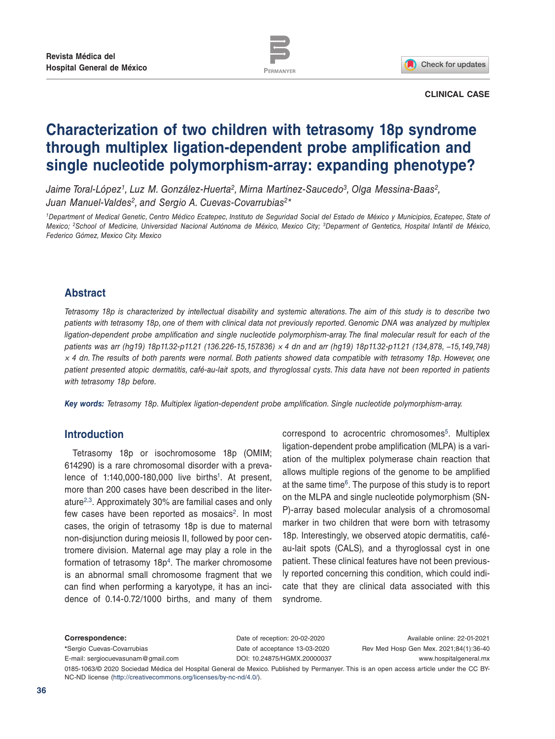



**CLINICAL CASE**

# **Characterization of two children with tetrasomy 18p syndrome through multiplex ligation-dependent probe amplification and single nucleotide polymorphism-array: expanding phenotype?**

*Jaime Toral-López1, Luz M. González-Huerta2, Mirna Martínez-Saucedo3, Olga Messina-Baas2, Juan Manuel-Valdes2, and Sergio A. Cuevas-Covarrubias2\**

*1Department of Medical Genetic, Centro Médico Ecatepec, Instituto de Seguridad Social del Estado de México y Municipios, Ecatepec, State of Mexico; 2School of Medicine, Universidad Nacional Autónoma de México, Mexico City; 3Deparment of Gentetics, Hospital Infantil de México, Federico Gómez, Mexico City. Mexico*

# **Abstract**

*Tetrasomy 18p is characterized by intellectual disability and systemic alterations. The aim of this study is to describe two patients with tetrasomy 18p, one of them with clinical data not previously reported. Genomic DNA was analyzed by multiplex*  ligation-dependent probe amplification and single nucleotide polymorphism-array. The final molecular result for each of the *patients was arr (hg19) 18p11.32-p11.21 (136.226-15,157.836) × 4 dn and arr (hg19) 18p11.32-p11.21 (134,878, −15,149,748) × 4 dn. The results of both parents were normal. Both patients showed data compatible with tetrasomy 18p. However, one patient presented atopic dermatitis, café-au-lait spots, and thyroglossal cysts. This data have not been reported in patients with tetrasomy 18p before.*

*Key words: Tetrasomy 18p. Multiplex ligation-dependent probe amplification. Single nucleotide polymorphism-array.*

# **Introduction**

Tetrasomy 18p or isochromosome 18p (OMIM; 614290) is a rare chromosomal disorder with a prevalence of  $1:140,000-180,000$  live births<sup>1</sup>. At present, more than 200 cases have been described in the literature2,3. Approximately 30% are familial cases and only few cases have been reported as mosaics<sup>2</sup>. In most cases, the origin of tetrasomy 18p is due to maternal non-disjunction during meiosis II, followed by poor centromere division. Maternal age may play a role in the formation of tetrasomy  $18p<sup>4</sup>$ . The marker chromosome is an abnormal small chromosome fragment that we can find when performing a karyotype, it has an incidence of 0.14-0.72/1000 births, and many of them

correspond to acrocentric chromosomes<sup>5</sup>. Multiplex ligation-dependent probe amplification (MLPA) is a variation of the multiplex polymerase chain reaction that allows multiple regions of the genome to be amplified at the same time6. The purpose of this study is to report on the MLPA and single nucleotide polymorphism (SN-P)-array based molecular analysis of a chromosomal marker in two children that were born with tetrasomy 18p. Interestingly, we observed atopic dermatitis, caféau-lait spots (CALS), and a thyroglossal cyst in one patient. These clinical features have not been previously reported concerning this condition, which could indicate that they are clinical data associated with this syndrome.

**Correspondence: \***Sergio Cuevas-Covarrubias E-mail: sergiocuevasunam@gmail.com Date of reception: 20-02-2020 Date of acceptance 13-03-2020 DOI: 10.24875/HGMX.20000037

Available online: 22-01-2021 Rev Med Hosp Gen Mex. 2021;84(1):36-40 www.hospitalgeneral.mx

0185-1063/© 2020 Sociedad Médica del Hospital General de Mexico. Published by Permanyer. This is an open access article under the CC BY-NC-ND license (http://creativecommons.org/licenses/by-nc-nd/4.0/).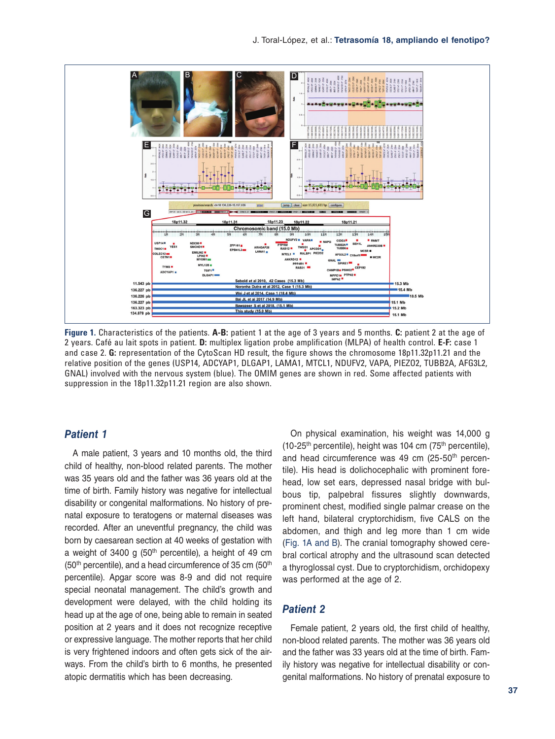

**Figure 1.** Characteristics of the patients. **A-B:** patient 1 at the age of 3 years and 5 months. **C:** patient 2 at the age of 2 years. Café au lait spots in patient. **D:** multiplex ligation probe amplification (MLPA) of health control. **E-F:** case 1 and case 2. **G:** representation of the CytoScan HD result, the figure shows the chromosome 18p11.32p11.21 and the relative position of the genes (USP14, ADCYAP1, DLGAP1, LAMA1, MTCL1, NDUFV2, VAPA, PIEZO2, TUBB2A, AFG3L2, GNAL) involved with the nervous system (blue). The OMIM genes are shown in red. Some affected patients with suppression in the 18p11.32p11.21 region are also shown.

# *Patient 1*

A male patient, 3 years and 10 months old, the third child of healthy, non-blood related parents. The mother was 35 years old and the father was 36 years old at the time of birth. Family history was negative for intellectual disability or congenital malformations. No history of prenatal exposure to teratogens or maternal diseases was recorded. After an uneventful pregnancy, the child was born by caesarean section at 40 weeks of gestation with a weight of 3400 g  $(50<sup>th</sup>$  percentile), a height of 49 cm (50<sup>th</sup> percentile), and a head circumference of 35 cm (50<sup>th</sup>) percentile). Apgar score was 8-9 and did not require special neonatal management. The child's growth and development were delayed, with the child holding its head up at the age of one, being able to remain in seated position at 2 years and it does not recognize receptive or expressive language. The mother reports that her child is very frightened indoors and often gets sick of the airways. From the child's birth to 6 months, he presented atopic dermatitis which has been decreasing.

On physical examination, his weight was 14,000 g (10-25<sup>th</sup> percentile), height was 104 cm (75<sup>th</sup> percentile), and head circumference was 49 cm (25-50th percentile). His head is dolichocephalic with prominent forehead, low set ears, depressed nasal bridge with bulbous tip, palpebral fissures slightly downwards, prominent chest, modified single palmar crease on the left hand, bilateral cryptorchidism, five CALS on the abdomen, and thigh and leg more than 1 cm wide (Fig. 1A and B). The cranial tomography showed cerebral cortical atrophy and the ultrasound scan detected a thyroglossal cyst. Due to cryptorchidism, orchidopexy was performed at the age of 2.

# *Patient 2*

Female patient, 2 years old, the first child of healthy, non-blood related parents. The mother was 36 years old and the father was 33 years old at the time of birth. Family history was negative for intellectual disability or congenital malformations. No history of prenatal exposure to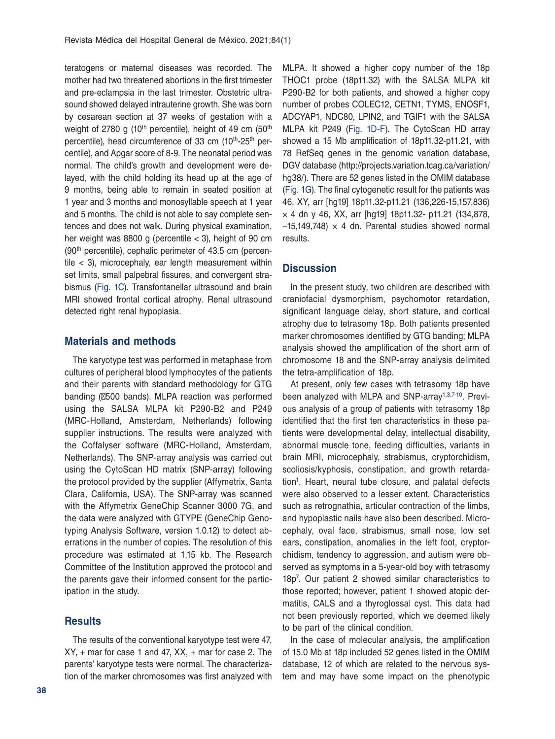teratogens or maternal diseases was recorded. The mother had two threatened abortions in the first trimester and pre-eclampsia in the last trimester. Obstetric ultrasound showed delayed intrauterine growth. She was born by cesarean section at 37 weeks of gestation with a weight of 2780 g (10<sup>th</sup> percentile), height of 49 cm (50<sup>th</sup>) percentile), head circumference of 33 cm (10<sup>th</sup>-25<sup>th</sup> percentile), and Apgar score of 8-9. The neonatal period was normal. The child's growth and development were delayed, with the child holding its head up at the age of 9 months, being able to remain in seated position at 1 year and 3 months and monosyllable speech at 1 year and 5 months. The child is not able to say complete sentences and does not walk. During physical examination, her weight was  $8800$  g (percentile  $<$  3), height of 90 cm (90<sup>th</sup> percentile), cephalic perimeter of 43.5 cm (percentile < 3), microcephaly, ear length measurement within set limits, small palpebral fissures, and convergent strabismus (Fig. 1C). Transfontanellar ultrasound and brain MRI showed frontal cortical atrophy. Renal ultrasound detected right renal hypoplasia.

# **Materials and methods**

The karyotype test was performed in metaphase from cultures of peripheral blood lymphocytes of the patients and their parents with standard methodology for GTG banding (∼500 bands). MLPA reaction was performed using the SALSA MLPA kit P290-B2 and P249 (MRC-Holland, Amsterdam, Netherlands) following supplier instructions. The results were analyzed with the Coffalyser software (MRC-Holland, Amsterdam, Netherlands). The SNP-array analysis was carried out using the CytoScan HD matrix (SNP-array) following the protocol provided by the supplier (Affymetrix, Santa Clara, California, USA). The SNP-array was scanned with the Affymetrix GeneChip Scanner 3000 7G, and the data were analyzed with GTYPE (GeneChip Genotyping Analysis Software, version 1.0.12) to detect aberrations in the number of copies. The resolution of this procedure was estimated at 1.15 kb. The Research Committee of the Institution approved the protocol and the parents gave their informed consent for the participation in the study.

#### **Results**

The results of the conventional karyotype test were 47,  $XY$ , + mar for case 1 and 47,  $XX$ , + mar for case 2. The parents' karyotype tests were normal. The characterization of the marker chromosomes was first analyzed with MLPA. It showed a higher copy number of the 18p THOC1 probe (18p11.32) with the SALSA MLPA kit P290-B2 for both patients, and showed a higher copy number of probes COLEC12, CETN1, TYMS, ENOSF1, ADCYAP1, NDC80, LPIN2, and TGIF1 with the SALSA MLPA kit P249 (Fig. 1D-F). The CytoScan HD array showed a 15 Mb amplification of 18p11.32-p11.21, with 78 RefSeq genes in the genomic variation database, DGV database (http://projects.variation.tcag.ca/variation/ hg38/). There are 52 genes listed in the OMIM database (Fig. 1G). The final cytogenetic result for the patients was 46, XY, arr [hg19] 18p11.32-p11.21 (136,226-15,157,836) × 4 dn y 46, XX, arr [hg19] 18p11.32- p11.21 (134,878,  $-15,149,748$ ) × 4 dn. Parental studies showed normal results.

## **Discussion**

In the present study, two children are described with craniofacial dysmorphism, psychomotor retardation, significant language delay, short stature, and cortical atrophy due to tetrasomy 18p. Both patients presented marker chromosomes identified by GTG banding; MLPA analysis showed the amplification of the short arm of chromosome 18 and the SNP-array analysis delimited the tetra-amplification of 18p.

At present, only few cases with tetrasomy 18p have been analyzed with MLPA and SNP-array<sup>1,3,7-10</sup>. Previous analysis of a group of patients with tetrasomy 18p identified that the first ten characteristics in these patients were developmental delay, intellectual disability, abnormal muscle tone, feeding difficulties, variants in brain MRI, microcephaly, strabismus, cryptorchidism, scoliosis/kyphosis, constipation, and growth retardation<sup>1</sup>. Heart, neural tube closure, and palatal defects were also observed to a lesser extent. Characteristics such as retrognathia, articular contraction of the limbs, and hypoplastic nails have also been described. Microcephaly, oval face, strabismus, small nose, low set ears, constipation, anomalies in the left foot, cryptorchidism, tendency to aggression, and autism were observed as symptoms in a 5-year-old boy with tetrasomy 18p7 . Our patient 2 showed similar characteristics to those reported; however, patient 1 showed atopic dermatitis, CALS and a thyroglossal cyst. This data had not been previously reported, which we deemed likely to be part of the clinical condition.

In the case of molecular analysis, the amplification of 15.0 Mb at 18p included 52 genes listed in the OMIM database, 12 of which are related to the nervous system and may have some impact on the phenotypic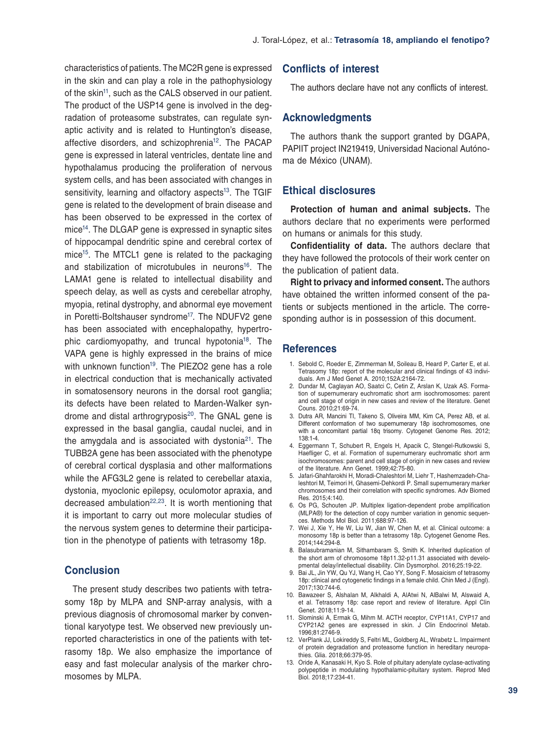characteristics of patients. The MC2R gene is expressed in the skin and can play a role in the pathophysiology of the skin<sup>11</sup>, such as the CALS observed in our patient. The product of the USP14 gene is involved in the degradation of proteasome substrates, can regulate synaptic activity and is related to Huntington's disease, affective disorders, and schizophrenia<sup>12</sup>. The PACAP gene is expressed in lateral ventricles, dentate line and hypothalamus producing the proliferation of nervous system cells, and has been associated with changes in sensitivity, learning and olfactory aspects<sup>13</sup>. The TGIF gene is related to the development of brain disease and has been observed to be expressed in the cortex of mice<sup>14</sup>. The DLGAP gene is expressed in synaptic sites of hippocampal dendritic spine and cerebral cortex of mice<sup>15</sup>. The MTCL1 gene is related to the packaging and stabilization of microtubules in neurons<sup>16</sup>. The LAMA1 gene is related to intellectual disability and speech delay, as well as cysts and cerebellar atrophy, myopia, retinal dystrophy, and abnormal eye movement in Poretti-Boltshauser syndrome<sup>17</sup>. The NDUFV2 gene has been associated with encephalopathy, hypertrophic cardiomyopathy, and truncal hypotonia18. The VAPA gene is highly expressed in the brains of mice with unknown function<sup>19</sup>. The PIEZO2 gene has a role in electrical conduction that is mechanically activated in somatosensory neurons in the dorsal root ganglia; its defects have been related to Marden-Walker syndrome and distal arthrogryposis $20$ . The GNAL gene is expressed in the basal ganglia, caudal nuclei, and in the amygdala and is associated with dystonia<sup>21</sup>. The TUBB2A gene has been associated with the phenotype of cerebral cortical dysplasia and other malformations while the AFG3L2 gene is related to cerebellar ataxia, dystonia, myoclonic epilepsy, oculomotor apraxia, and decreased ambulation $22,23$ . It is worth mentioning that it is important to carry out more molecular studies of the nervous system genes to determine their participation in the phenotype of patients with tetrasomy 18p.

### **Conclusion**

The present study describes two patients with tetrasomy 18p by MLPA and SNP-array analysis, with a previous diagnosis of chromosomal marker by conventional karyotype test. We observed new previously unreported characteristics in one of the patients with tetrasomy 18p. We also emphasize the importance of easy and fast molecular analysis of the marker chromosomes by MLPA.

# **Conflicts of interest**

The authors declare have not any conflicts of interest.

#### **Acknowledgments**

The authors thank the support granted by DGAPA, PAPIIT project IN219419, Universidad Nacional Autónoma de México (UNAM).

### **Ethical disclosures**

**Protection of human and animal subjects.** The authors declare that no experiments were performed on humans or animals for this study.

**Confidentiality of data.** The authors declare that they have followed the protocols of their work center on the publication of patient data.

**Right to privacy and informed consent.** The authors have obtained the written informed consent of the patients or subjects mentioned in the article. The corresponding author is in possession of this document.

#### **References**

- 1. Sebold C, Roeder E, Zimmerman M, Soileau B, Heard P, Carter E, et al. Tetrasomy 18p: report of the molecular and clinical findings of 43 individuals. Am J Med Genet A. 2010;152A:2164-72.
- 2. Dundar M, Caglayan AO, Saatci C, Cetin Z, Arslan K, Uzak AS. Formation of supernumerary euchromatic short arm isochromosomes: parent and cell stage of origin in new cases and review of the literature. Genet Couns. 2010;21:69-74.
- 3. Dutra AR, Mancini TI, Takeno S, Oliveira MM, Kim CA, Perez AB, et al. Different conformation of two supernumerary 18p isochromosomes, one with a concomitant partial 18q trisomy. Cytogenet Genome Res. 2012; 138:1-4.
- 4. Eggermann T, Schubert R, Engels H, Apacik C, Stengel-Rutkowski S, Haefliger C, et al. Formation of supernumerary euchromatic short arm isochromosomes: parent and cell stage of origin in new cases and review of the literature. Ann Genet. 1999;42:75-80.
- 5. Jafari-Ghahfarokhi H, Moradi-Chaleshtori M, Liehr T, Hashemzadeh-Chaleshtori M, Teimori H, Ghasemi-Dehkordi P. Small supernumerary marker chromosomes and their correlation with specific syndromes. Adv Biomed Res. 2015;4:140.
- 6. Os PG, Schouten JP. Multiplex ligation-dependent probe amplification (MLPA®) for the detection of copy number variation in genomic sequences. Methods Mol Biol. 2011;688:97-126.
- 7. Wei J, Xie Y, He W, Liu W, Jian W, Chen M, et al. Clinical outcome: a monosomy 18p is better than a tetrasomy 18p. Cytogenet Genome Res. 2014;144:294-8.
- 8. Balasubramanian M, Sithambaram S, Smith K. Inherited duplication of the short arm of chromosome 18p11.32-p11.31 associated with developmental delay/intellectual disability. Clin Dysmorphol. 2016;25:19-22.
- 9. Bai JL, Jin YW, Qu YJ, Wang H, Cao YY, Song F. Mosaicism of tetrasomy 18p: clinical and cytogenetic findings in a female child. Chin Med J (Engl). 2017;130:744-6.
- 10. Bawazeer S, Alshalan M, Alkhaldi A, AlAtwi N, AlBalwi M, Alswaid A, et al. Tetrasomy 18p: case report and review of literature. Appl Clin Genet. 2018;11:9-14.
- 11. Slominski A, Ermak G, Mihm M. ACTH receptor, CYP11A1, CYP17 and CYP21A2 genes are expressed in skin. J Clin Endocrinol Metab. 1996;81:2746-9.
- 12. VerPlank JJ, Lokireddy S, Feltri ML, Goldberg AL, Wrabetz L. Impairment of protein degradation and proteasome function in hereditary neuropathies. Glia. 2018;66:379-95.
- 13. Oride A, Kanasaki H, Kyo S. Role of pituitary adenylate cyclase-activating polypeptide in modulating hypothalamic-pituitary system. Reprod Med Biol. 2018;17:234-41.